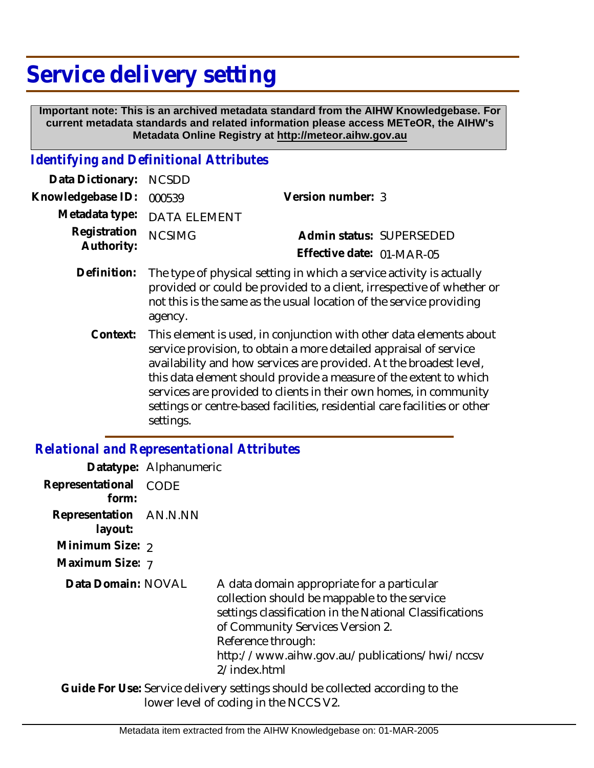# **Service delivery setting**

 **Important note: This is an archived metadata standard from the AIHW Knowledgebase. For current metadata standards and related information please access METeOR, the AIHW's Metadata Online Registry at http://meteor.aihw.gov.au**

#### *Identifying and Definitional Attributes*

| Data Dictionary: NCSDD            |                             |                           |  |
|-----------------------------------|-----------------------------|---------------------------|--|
| Knowledgebase ID: 000539          |                             | Version number: 3         |  |
|                                   | Metadata type: DATA ELEMENT |                           |  |
| Registration NCSIMG<br>Authority: |                             | Admin status: SUPERSEDED  |  |
|                                   |                             | Effective date: 01-MAR-05 |  |
|                                   |                             |                           |  |

- The type of physical setting in which a service activity is actually provided or could be provided to a client, irrespective of whether or not this is the same as the usual location of the service providing agency. **Definition:**
	- This element is used, in conjunction with other data elements about service provision, to obtain a more detailed appraisal of service availability and how services are provided. At the broadest level, this data element should provide a measure of the extent to which services are provided to clients in their own homes, in community settings or centre-based facilities, residential care facilities or other settings. **Context:**

#### *Relational and Representational Attributes*

|                                   | Datatype: Alphanumeric |                                                                                                                                                                                                                                                                                  |
|-----------------------------------|------------------------|----------------------------------------------------------------------------------------------------------------------------------------------------------------------------------------------------------------------------------------------------------------------------------|
| Representational<br>form:         | CODE                   |                                                                                                                                                                                                                                                                                  |
| Representation AN.N.NN<br>layout: |                        |                                                                                                                                                                                                                                                                                  |
| Minimum Size: 2                   |                        |                                                                                                                                                                                                                                                                                  |
| Maximum Size: 7                   |                        |                                                                                                                                                                                                                                                                                  |
| Data Domain: NOVAL                |                        | A data domain appropriate for a particular<br>collection should be mappable to the service<br>settings classification in the National Classifications<br>of Community Services Version 2.<br>Reference through:<br>http://www.aihw.gov.au/publications/hwi/nccsv<br>2/index.html |
|                                   |                        | Guide For Use: Service delivery settings should be collected according to the                                                                                                                                                                                                    |

lower level of coding in the NCCS V2.